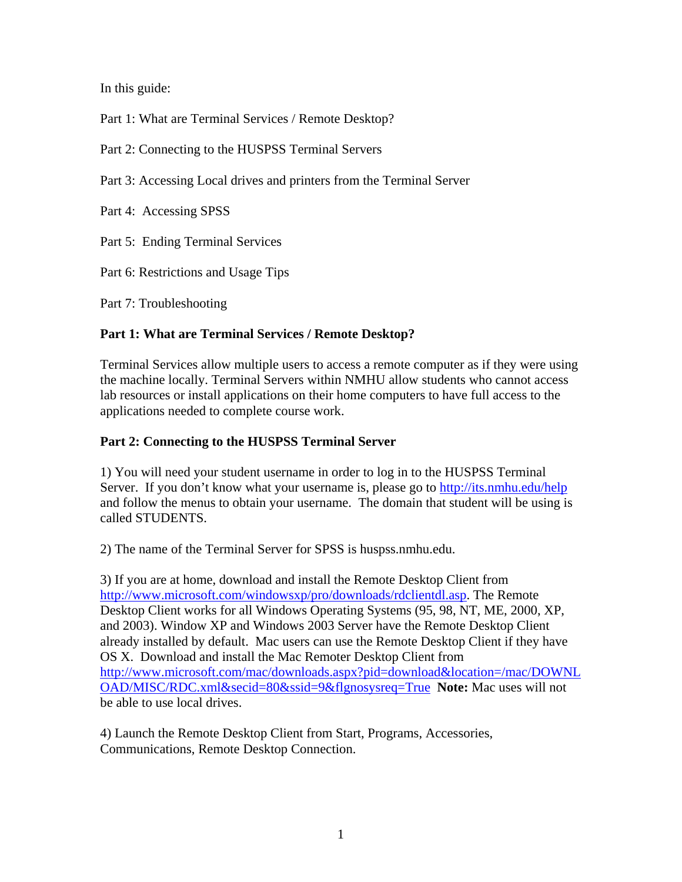In this guide:

Part 1: What are Terminal Services / Remote Desktop?

Part 2: Connecting to the HUSPSS Terminal Servers

Part 3: Accessing Local drives and printers from the Terminal Server

Part 4: Accessing SPSS

Part 5: Ending Terminal Services

Part 6: Restrictions and Usage Tips

Part 7: Troubleshooting

### **Part 1: What are Terminal Services / Remote Desktop?**

Terminal Services allow multiple users to access a remote computer as if they were using the machine locally. Terminal Servers within NMHU allow students who cannot access lab resources or install applications on their home computers to have full access to the applications needed to complete course work.

#### **Part 2: Connecting to the HUSPSS Terminal Server**

1) You will need your student username in order to log in to the HUSPSS Terminal Server. If you don't know what your username is, please go to http://its.nmhu.edu/help and follow the menus to obtain your username. The domain that student will be using is called STUDENTS.

2) The name of the Terminal Server for SPSS is huspss.nmhu.edu.

3) If you are at home, download and install the Remote Desktop Client from http://www.microsoft.com/windowsxp/pro/downloads/rdclientdl.asp. The Remote Desktop Client works for all Windows Operating Systems (95, 98, NT, ME, 2000, XP, and 2003). Window XP and Windows 2003 Server have the Remote Desktop Client already installed by default. Mac users can use the Remote Desktop Client if they have OS X. Download and install the Mac Remoter Desktop Client from http://www.microsoft.com/mac/downloads.aspx?pid=download&location=/mac/DOWNL OAD/MISC/RDC.xml&secid=80&ssid=9&flgnosysreq=True **Note:** Mac uses will not be able to use local drives.

4) Launch the Remote Desktop Client from Start, Programs, Accessories, Communications, Remote Desktop Connection.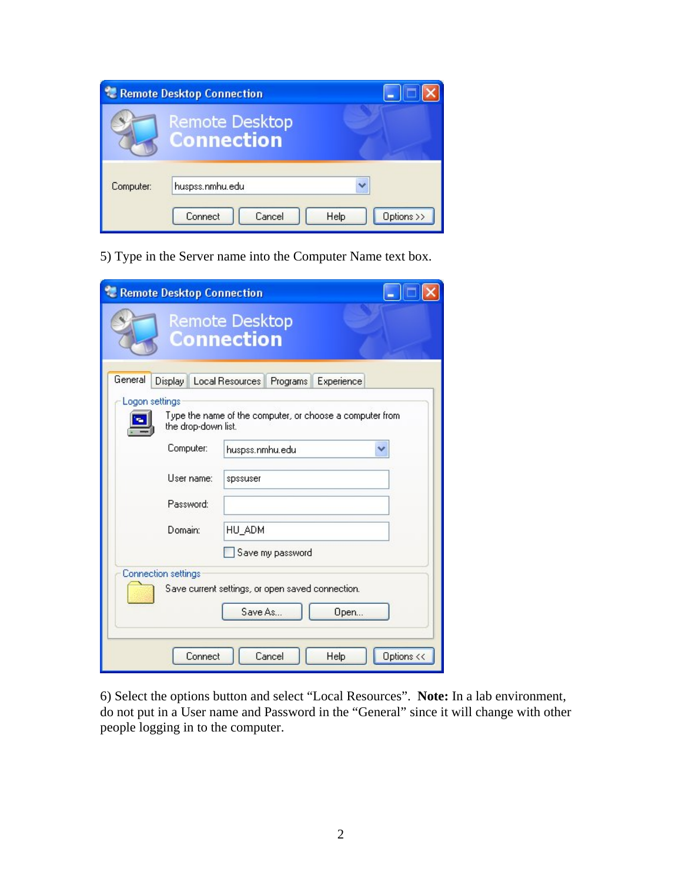| <b>Remote Desktop Connection</b> |                                            |                    |
|----------------------------------|--------------------------------------------|--------------------|
|                                  | <b>Remote Desktop</b><br><b>Connection</b> |                    |
| Computer:                        | huspss.nmhu.edu<br>Cancel<br>Connect       | Options >><br>Help |

5) Type in the Server name into the Computer Name text box.

| Remote Desktop Connection                                   |                                                                                                     |
|-------------------------------------------------------------|-----------------------------------------------------------------------------------------------------|
|                                                             | <b>Remote Desktop</b><br><b>Connection</b>                                                          |
| General<br>Display<br>Logon settings<br>the drop-down list. | Local Resources   Programs   Experience<br>Type the name of the computer, or choose a computer from |
| Computer:                                                   | huspss.nmhu.edu                                                                                     |
| User name:                                                  | spssuser                                                                                            |
| Password:                                                   |                                                                                                     |
| Domain:                                                     | HU ADM                                                                                              |
|                                                             | Save my password                                                                                    |
| <b>Connection settings</b>                                  | Save current settings, or open saved connection.<br>Save As<br>Open                                 |
| Connect                                                     | Options <<<br>Cancel<br>Help                                                                        |

6) Select the options button and select "Local Resources". **Note:** In a lab environment, do not put in a User name and Password in the "General" since it will change with other people logging in to the computer.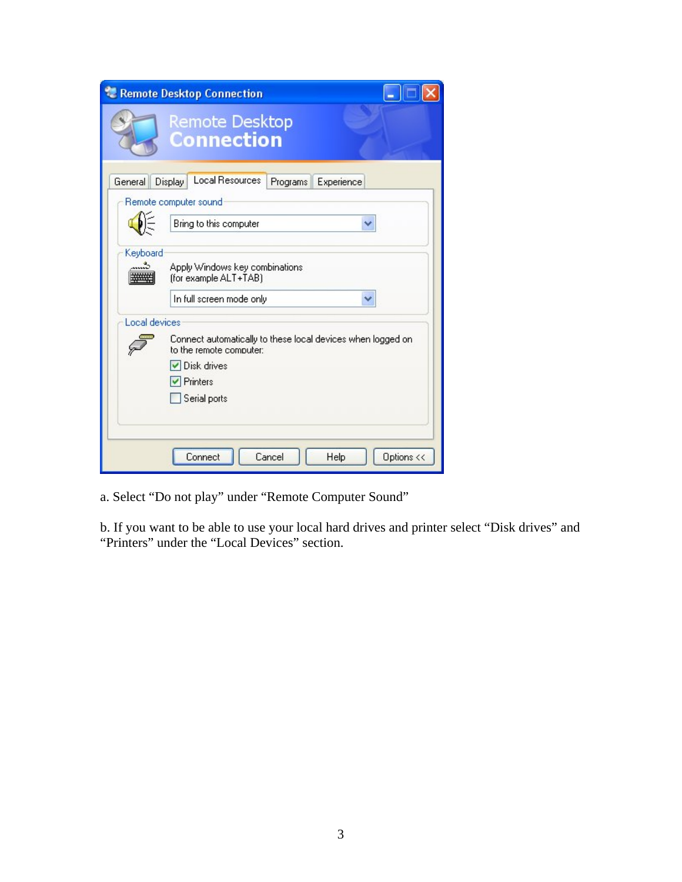|               | Remote Desktop Connection                                                                                                           |
|---------------|-------------------------------------------------------------------------------------------------------------------------------------|
|               | <b>Remote Desktop</b><br><b>Connection</b>                                                                                          |
| General       | <b>Local Resources</b><br>Display<br>Programs<br>Experience<br>Remote computer sound<br>Bring to this computer<br>v                 |
| Keyboard      | Apply Windows key combinations<br>(for example ALT+TAB)<br>In full screen mode only                                                 |
| Local devices | Connect automatically to these local devices when logged on<br>to the remote computer:<br>✔ Disk drives<br>Printers<br>Serial ports |
|               | Cancel<br>Options <<<br>Connect<br>Help                                                                                             |

a. Select "Do not play" under "Remote Computer Sound"

b. If you want to be able to use your local hard drives and printer select "Disk drives" and "Printers" under the "Local Devices" section.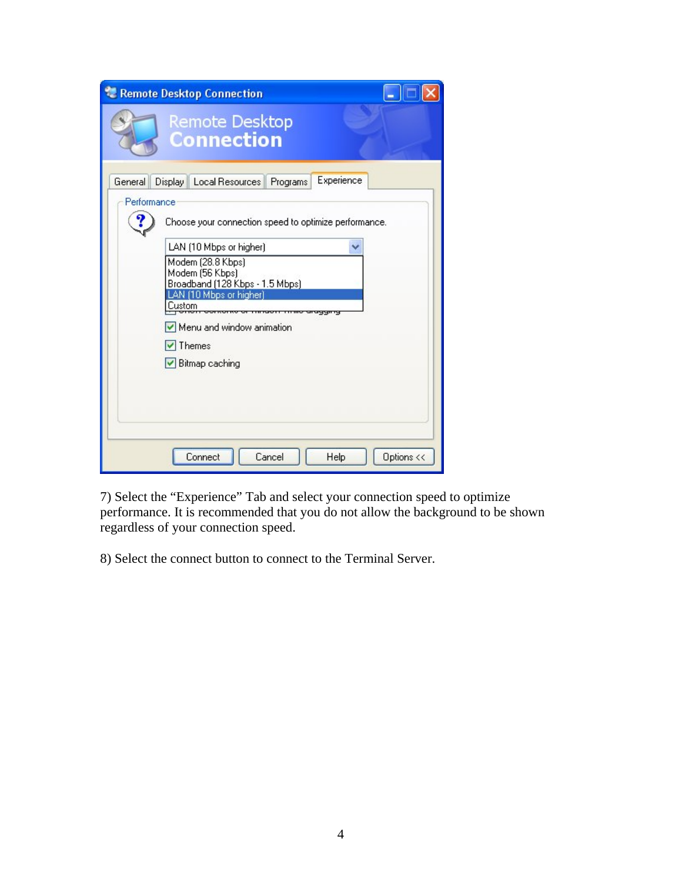|                        | Remote Desktop Connection                                                                                                                     |
|------------------------|-----------------------------------------------------------------------------------------------------------------------------------------------|
|                        | <b>Remote Desktop</b><br><b>Connection</b>                                                                                                    |
| General<br>Performance | Experience<br>Display   Local Resources   Programs                                                                                            |
|                        | Choose your connection speed to optimize performance.                                                                                         |
|                        | LAN (10 Mbps or higher)<br>Modem (28.8 Kbps)<br>Modem (56 Kbps)<br>Broadband (128 Kbps - 1.5 Mbps)<br>AN (10 Mbps or higher)<br><b>Custom</b> |
|                        | Menu and window animation<br>$\vee$ Themes                                                                                                    |
|                        | Bitmap caching                                                                                                                                |
|                        | Cancel<br>Options <<<br>Help<br>Connect                                                                                                       |

7) Select the "Experience" Tab and select your connection speed to optimize performance. It is recommended that you do not allow the background to be shown regardless of your connection speed.

8) Select the connect button to connect to the Terminal Server.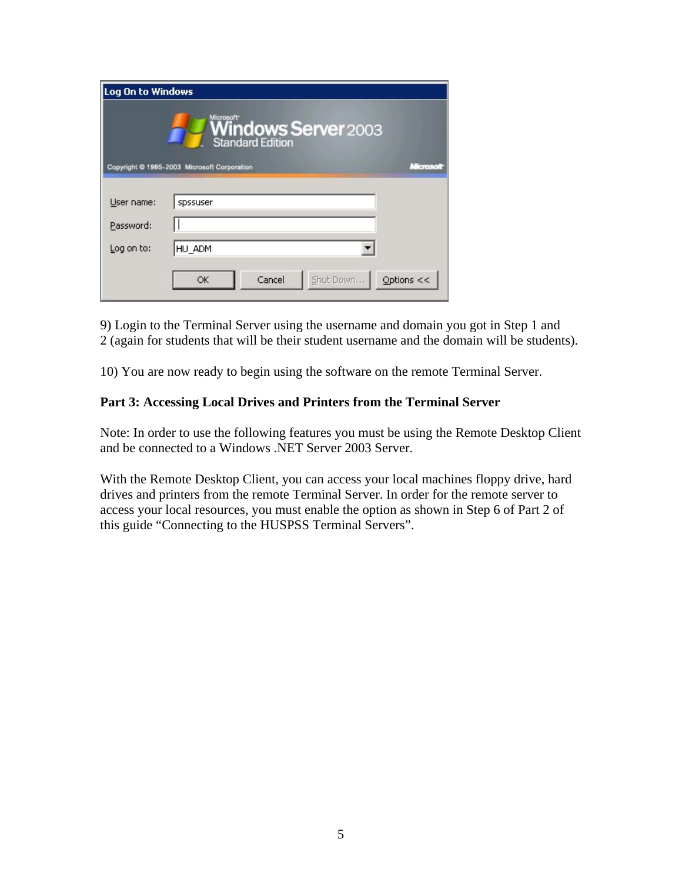| Log On to Windows |                                                                |  |
|-------------------|----------------------------------------------------------------|--|
|                   | <b>Windows Server</b> 2003<br><b>Standard Edition</b>          |  |
|                   | Copyright @ 1985-2003 Microsoft Corporation<br><b>MARTOSCO</b> |  |
|                   |                                                                |  |
| User name:        | spssuser                                                       |  |
| Password:         |                                                                |  |
| Log on to:        | HU_ADM                                                         |  |
|                   | Options $<<$<br>Cancel<br>Shut Down<br>OK                      |  |
|                   |                                                                |  |

9) Login to the Terminal Server using the username and domain you got in Step 1 and 2 (again for students that will be their student username and the domain will be students).

10) You are now ready to begin using the software on the remote Terminal Server.

#### **Part 3: Accessing Local Drives and Printers from the Terminal Server**

Note: In order to use the following features you must be using the Remote Desktop Client and be connected to a Windows .NET Server 2003 Server.

With the Remote Desktop Client, you can access your local machines floppy drive, hard drives and printers from the remote Terminal Server. In order for the remote server to access your local resources, you must enable the option as shown in Step 6 of Part 2 of this guide "Connecting to the HUSPSS Terminal Servers".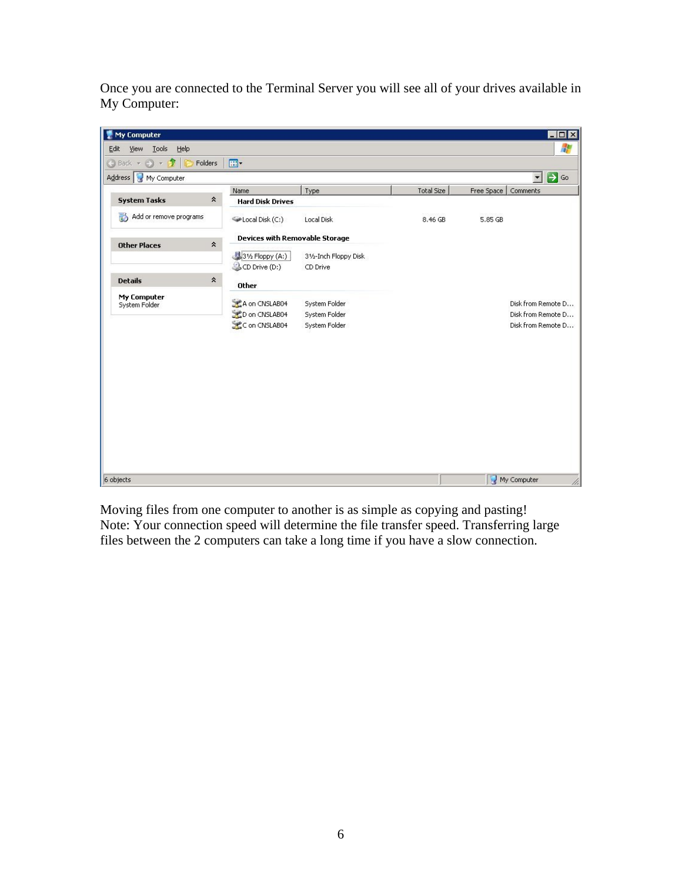Once you are connected to the Terminal Server you will see all of your drives available in My Computer:



Moving files from one computer to another is as simple as copying and pasting! Note: Your connection speed will determine the file transfer speed. Transferring large files between the 2 computers can take a long time if you have a slow connection.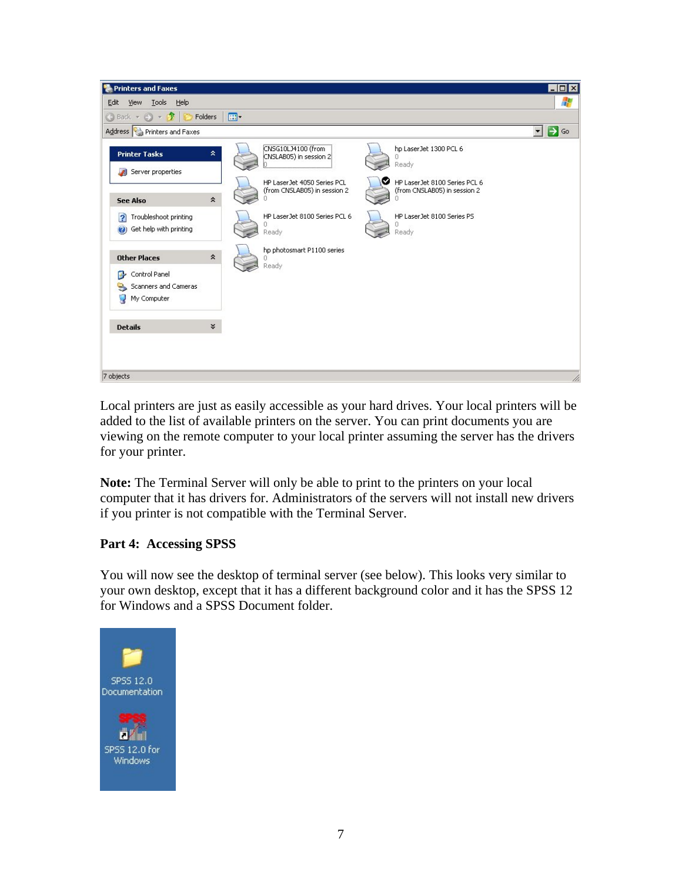

Local printers are just as easily accessible as your hard drives. Your local printers will be added to the list of available printers on the server. You can print documents you are viewing on the remote computer to your local printer assuming the server has the drivers for your printer.

**Note:** The Terminal Server will only be able to print to the printers on your local computer that it has drivers for. Administrators of the servers will not install new drivers if you printer is not compatible with the Terminal Server.

# **Part 4: Accessing SPSS**

You will now see the desktop of terminal server (see below). This looks very similar to your own desktop, except that it has a different background color and it has the SPSS 12 for Windows and a SPSS Document folder.

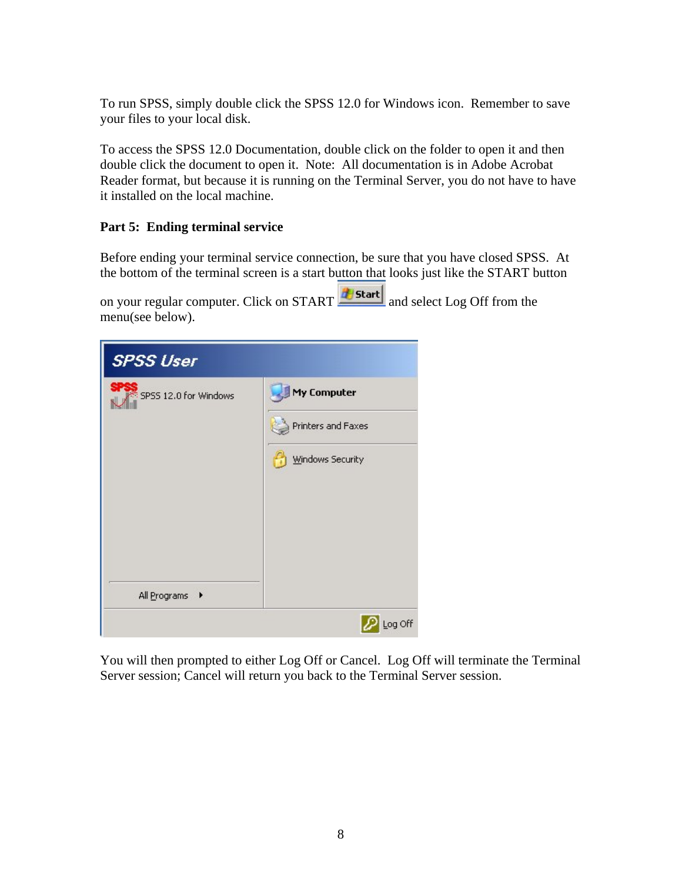To run SPSS, simply double click the SPSS 12.0 for Windows icon. Remember to save your files to your local disk.

To access the SPSS 12.0 Documentation, double click on the folder to open it and then double click the document to open it. Note: All documentation is in Adobe Acrobat Reader format, but because it is running on the Terminal Server, you do not have to have it installed on the local machine.

# **Part 5: Ending terminal service**

Before ending your terminal service connection, be sure that you have closed SPSS. At the bottom of the terminal screen is a start button that looks just like the START button

on your regular computer. Click on  $START$  **Examplement START** and select Log Off from the menu(see below).



You will then prompted to either Log Off or Cancel. Log Off will terminate the Terminal Server session; Cancel will return you back to the Terminal Server session.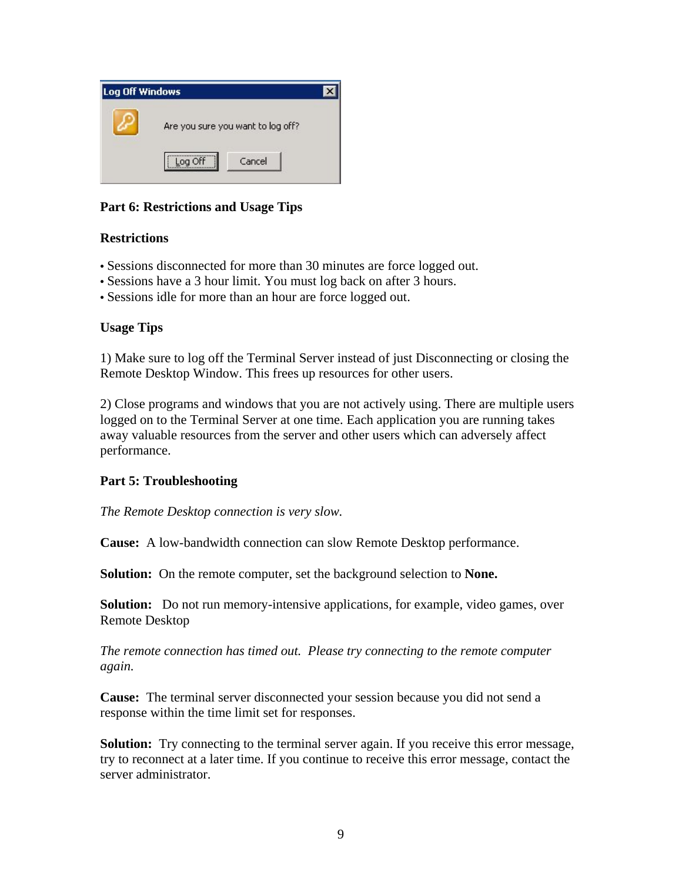

# **Part 6: Restrictions and Usage Tips**

### **Restrictions**

- Sessions disconnected for more than 30 minutes are force logged out.
- Sessions have a 3 hour limit. You must log back on after 3 hours.
- Sessions idle for more than an hour are force logged out.

### **Usage Tips**

1) Make sure to log off the Terminal Server instead of just Disconnecting or closing the Remote Desktop Window. This frees up resources for other users.

2) Close programs and windows that you are not actively using. There are multiple users logged on to the Terminal Server at one time. Each application you are running takes away valuable resources from the server and other users which can adversely affect performance.

### **Part 5: Troubleshooting**

*The Remote Desktop connection is very slow.*

**Cause:** A low-bandwidth connection can slow Remote Desktop performance.

**Solution:** On the remote computer, set the background selection to **None.**

**Solution:** Do not run memory-intensive applications, for example, video games, over Remote Desktop

*The remote connection has timed out. Please try connecting to the remote computer again.* 

**Cause:** The terminal server disconnected your session because you did not send a response within the time limit set for responses.

**Solution:** Try connecting to the terminal server again. If you receive this error message, try to reconnect at a later time. If you continue to receive this error message, contact the server administrator.